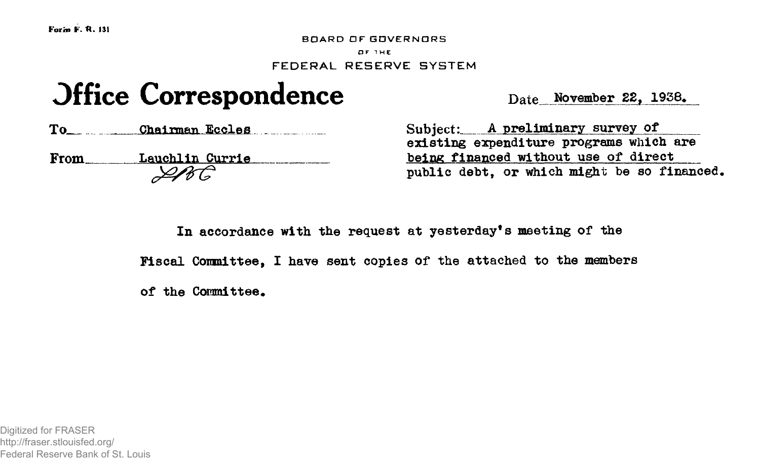**Form F. R. 131** 

**BOARD OF GOVERNORS OF 1 HE** FEDERAL RESERVE SYSTEM

## **Office Correspondence**

**Date November 22, 1958^**

**Ohaiman Ecolem**  $To$ 

From **Lauchlin Currie** **Subject: A preliminary survey of existing expenditure programs wliich are being financed without use of direct** public debt, or which might be so financed.

**In accordance with the request at yesterday\*s meeting of the**

**Fiscal Comaittee, I have sent copies of the attached to the members**

of the Committee.

Digitized for FRASER http://fraser.stlouisfed.org/ Federal Reserve Bank of St. Louis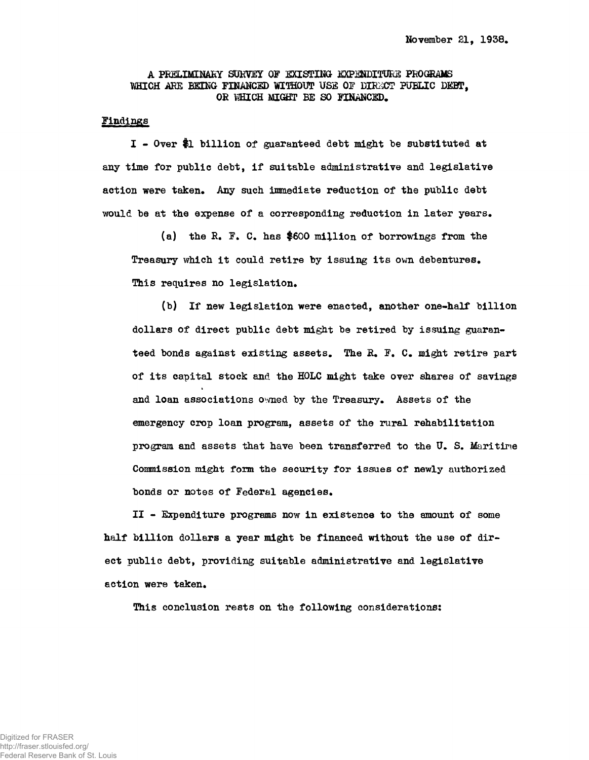## A PRELIMINARY SURVEY OF EXISTING EXPENDITURE PROGRAMS WHICH ARE BEING FINANCED WITHOUT USE OF DIRECT PUBLIC DEBT. OR WHICH MIGHT BE SO FINANCED.

## Findings

I - Over \$1 billion of guaranteed debt might be substituted at any time for public debt, if suitable administrative and legislative action were taken. Any such immediate reduction of the public debt would be at the expense of a corresponding reduction in later years.

(a) the R. F. C. has  $$600$  million of borrowings from the Treasury which it could retire by issuing its own debentures. This requires no legislation.

(b) If new legislation were enacted, another one-half billion dollars of direct public debt might be retired by issuing guaranteed bonds against existing assets. The R. F. C. might retire part of its capital stock and the HOLC might take over shares of savings and loan associations owned by the Treasury. Assets of the emergency crop loan program, assets of the rural rehabilitation program and assets that have been transferred to the U.S. Maritime Commission might form the security for issues of newly authorized bonds or notes of Federal agencies.

II - Expenditure programs now in existence to the amount of some half billion dollars a year might be financed without the use of direct public debt, providing suitable administrative and legislative action were taken.

This conclusion rests on the following considerations: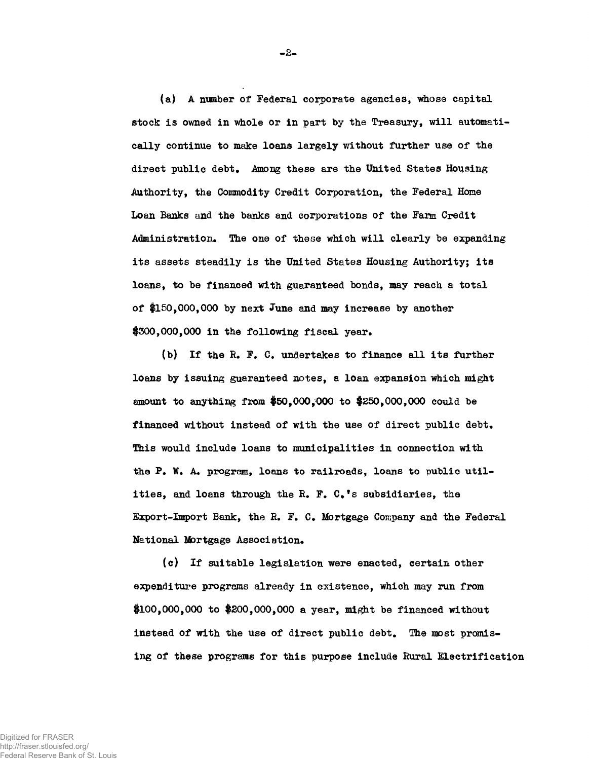**(a) A number of Federal corporate agencies, whose capital stock is owned in whole or in part by the Treasury, will automatically continue to make loans largely without further use of the** direct public debt. Among these are the United States Housing **Authority, the Commodity Credit Corporation, the Federal Home Loan Banks and the banks and corporations of the Farm Credit Administration. The one of these which will clearly be expanding its assets steadily is the United States Housing Authority; its loans, to be financed with guaranteed bonds, may reach a total of \$150,000,000 by next June and may increase by another #300,000,000 in the following fiscal year\***

(b) If the R. F. C. undertakes to finance all its further **loans by issuing guaranteed notes, a loan expansion which might amount to anything from #50,000,000 to #250,000,000 could be** financed without instead of with the use of direct public debt. **This would include loans to municipalities in connection with** the P. W. A. program, loans to railroads, loans to public utilities, and loans through the R. F. C.'s subsidiaries, the **Export-Import Bank, the R\* F\* C\* Mortgage Company and the Federal National Mortgage Association.** 

**(c) If suitable legislation were enacted, certain other expenditure programs already in existence, which may run from #100,000,000 to #200,000,000 a year, might be financed without** instead of with the use of direct public debt. The most promis**ing of these programs for this purpose include Rural Electrification**

**-2-**